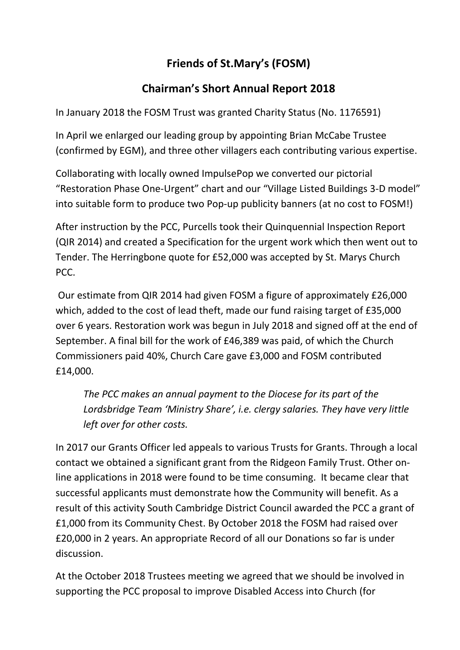## **Friends of St.Mary's (FOSM)**

## **Chairman's Short Annual Report 2018**

In January 2018 the FOSM Trust was granted Charity Status (No. 1176591)

In April we enlarged our leading group by appointing Brian McCabe Trustee (confirmed by EGM), and three other villagers each contributing various expertise.

Collaborating with locally owned ImpulsePop we converted our pictorial "Restoration Phase One-Urgent" chart and our "Village Listed Buildings 3-D model" into suitable form to produce two Pop-up publicity banners (at no cost to FOSM!)

After instruction by the PCC, Purcells took their Quinquennial Inspection Report (QIR 2014) and created a Specification for the urgent work which then went out to Tender. The Herringbone quote for £52,000 was accepted by St. Marys Church PCC.

Our estimate from QIR 2014 had given FOSM a figure of approximately £26,000 which, added to the cost of lead theft, made our fund raising target of £35,000 over 6 years. Restoration work was begun in July 2018 and signed off at the end of September. A final bill for the work of £46,389 was paid, of which the Church Commissioners paid 40%, Church Care gave £3,000 and FOSM contributed £14,000.

*The PCC makes an annual payment to the Diocese for its part of the Lordsbridge Team 'Ministry Share', i.e. clergy salaries. They have very little left over for other costs.*

In 2017 our Grants Officer led appeals to various Trusts for Grants. Through a local contact we obtained a significant grant from the Ridgeon Family Trust. Other online applications in 2018 were found to be time consuming. It became clear that successful applicants must demonstrate how the Community will benefit. As a result of this activity South Cambridge District Council awarded the PCC a grant of £1,000 from its Community Chest. By October 2018 the FOSM had raised over £20,000 in 2 years. An appropriate Record of all our Donations so far is under discussion.

At the October 2018 Trustees meeting we agreed that we should be involved in supporting the PCC proposal to improve Disabled Access into Church (for